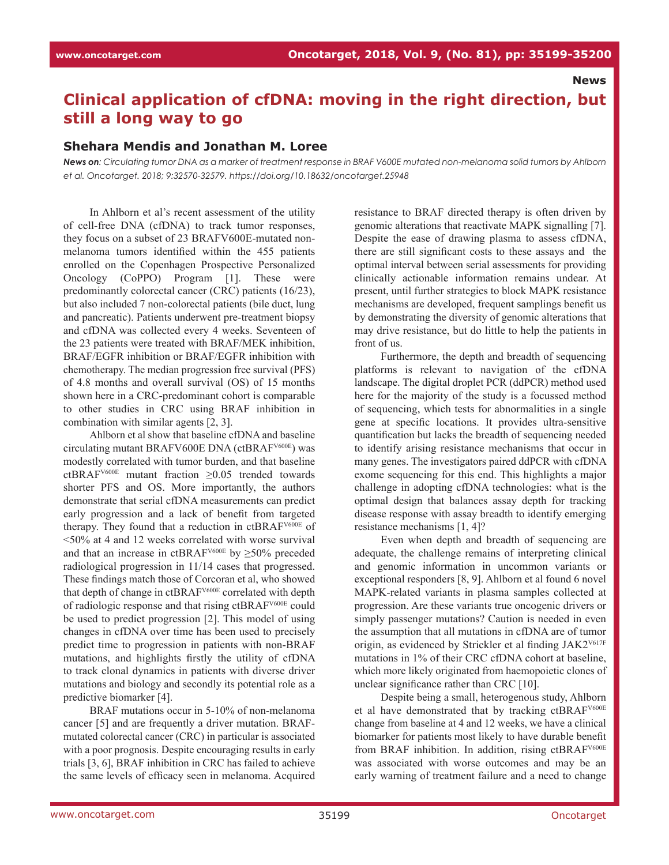**News**

## **Clinical application of cfDNA: moving in the right direction, but still a long way to go**

## **Shehara Mendis and Jonathan M. Loree**

*News on: Circulating tumor DNA as a marker of treatment response in BRAF V600E mutated non-melanoma solid tumors by Ahlborn et al. Oncotarget. 2018; 9:32570-32579. https://doi.org/10.18632/oncotarget.25948*

In Ahlborn et al's recent assessment of the utility of cell-free DNA (cfDNA) to track tumor responses, they focus on a subset of 23 BRAFV600E-mutated nonmelanoma tumors identified within the 455 patients enrolled on the Copenhagen Prospective Personalized Oncology (CoPPO) Program [1]. These were predominantly colorectal cancer (CRC) patients (16/23), but also included 7 non-colorectal patients (bile duct, lung and pancreatic). Patients underwent pre-treatment biopsy and cfDNA was collected every 4 weeks. Seventeen of the 23 patients were treated with BRAF/MEK inhibition, BRAF/EGFR inhibition or BRAF/EGFR inhibition with chemotherapy. The median progression free survival (PFS) of 4.8 months and overall survival (OS) of 15 months shown here in a CRC-predominant cohort is comparable to other studies in CRC using BRAF inhibition in combination with similar agents [2, 3].

Ahlborn et al show that baseline cfDNA and baseline circulating mutant BRAFV600E DNA (ctBRAFV600E) was modestly correlated with tumor burden, and that baseline ctBRAFV600E mutant fraction ≥0.05 trended towards shorter PFS and OS. More importantly, the authors demonstrate that serial cfDNA measurements can predict early progression and a lack of benefit from targeted therapy. They found that a reduction in ctBRAFV600E of <50% at 4 and 12 weeks correlated with worse survival and that an increase in ctBRAF<sup>V600E</sup> by  $\geq$ 50% preceded radiological progression in 11/14 cases that progressed. These findings match those of Corcoran et al, who showed that depth of change in ctBRAF<sup>V600E</sup> correlated with depth of radiologic response and that rising ctBRAFV600E could be used to predict progression [2]. This model of using changes in cfDNA over time has been used to precisely predict time to progression in patients with non-BRAF mutations, and highlights firstly the utility of cfDNA to track clonal dynamics in patients with diverse driver mutations and biology and secondly its potential role as a predictive biomarker [4].

BRAF mutations occur in 5-10% of non-melanoma cancer [5] and are frequently a driver mutation. BRAFmutated colorectal cancer (CRC) in particular is associated with a poor prognosis. Despite encouraging results in early trials [3, 6], BRAF inhibition in CRC has failed to achieve the same levels of efficacy seen in melanoma. Acquired resistance to BRAF directed therapy is often driven by genomic alterations that reactivate MAPK signalling [7]. Despite the ease of drawing plasma to assess cfDNA, there are still significant costs to these assays and the optimal interval between serial assessments for providing clinically actionable information remains undear. At present, until further strategies to block MAPK resistance mechanisms are developed, frequent samplings benefit us by demonstrating the diversity of genomic alterations that may drive resistance, but do little to help the patients in front of us.

Furthermore, the depth and breadth of sequencing platforms is relevant to navigation of the cfDNA landscape. The digital droplet PCR (ddPCR) method used here for the majority of the study is a focussed method of sequencing, which tests for abnormalities in a single gene at specific locations. It provides ultra-sensitive quantification but lacks the breadth of sequencing needed to identify arising resistance mechanisms that occur in many genes. The investigators paired ddPCR with cfDNA exome sequencing for this end. This highlights a major challenge in adopting cfDNA technologies: what is the optimal design that balances assay depth for tracking disease response with assay breadth to identify emerging resistance mechanisms [1, 4]?

Even when depth and breadth of sequencing are adequate, the challenge remains of interpreting clinical and genomic information in uncommon variants or exceptional responders [8, 9]. Ahlborn et al found 6 novel MAPK-related variants in plasma samples collected at progression. Are these variants true oncogenic drivers or simply passenger mutations? Caution is needed in even the assumption that all mutations in cfDNA are of tumor origin, as evidenced by Strickler et al finding JAK2<sup>V617F</sup> mutations in 1% of their CRC cfDNA cohort at baseline, which more likely originated from haemopoietic clones of unclear significance rather than CRC [10].

Despite being a small, heterogenous study, Ahlborn et al have demonstrated that by tracking ctBRAFV600E change from baseline at 4 and 12 weeks, we have a clinical biomarker for patients most likely to have durable benefit from BRAF inhibition. In addition, rising ctBRAF<sup>V600E</sup> was associated with worse outcomes and may be an early warning of treatment failure and a need to change